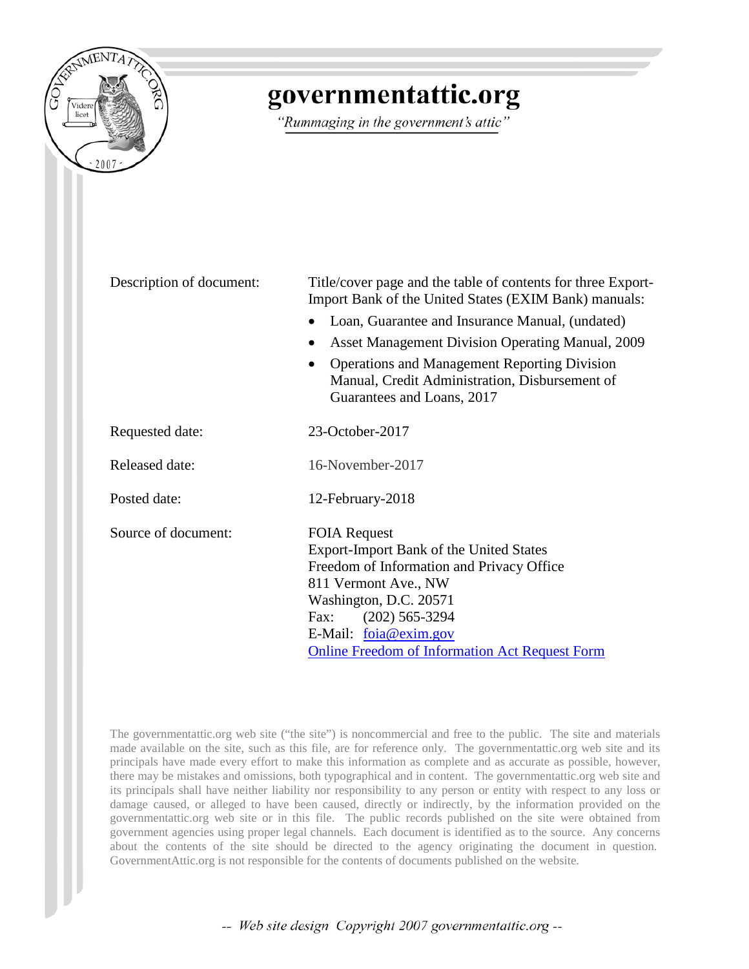

# governmentattic.org

"Rummaging in the government's attic"

| Description of document: | Title/cover page and the table of contents for three Export-<br>Import Bank of the United States (EXIM Bank) manuals:               |  |  |
|--------------------------|-------------------------------------------------------------------------------------------------------------------------------------|--|--|
|                          | Loan, Guarantee and Insurance Manual, (undated)                                                                                     |  |  |
|                          | <b>Asset Management Division Operating Manual, 2009</b><br>$\bullet$                                                                |  |  |
|                          | <b>Operations and Management Reporting Division</b><br>Manual, Credit Administration, Disbursement of<br>Guarantees and Loans, 2017 |  |  |
| Requested date:          | 23-October-2017                                                                                                                     |  |  |
| <b>Released date:</b>    | 16-November-2017                                                                                                                    |  |  |
| Posted date:             | 12-February-2018                                                                                                                    |  |  |
| Source of document:      | <b>FOIA Request</b>                                                                                                                 |  |  |
|                          | Export-Import Bank of the United States                                                                                             |  |  |
|                          | Freedom of Information and Privacy Office                                                                                           |  |  |
|                          | 811 Vermont Ave., NW                                                                                                                |  |  |
|                          | Washington, D.C. 20571                                                                                                              |  |  |
|                          | $(202)$ 565-3294<br>Fax:                                                                                                            |  |  |
|                          | E-Mail: foia@exim.gov                                                                                                               |  |  |
|                          | <b>Online Freedom of Information Act Request Form</b>                                                                               |  |  |

The governmentattic.org web site ("the site") is noncommercial and free to the public. The site and materials made available on the site, such as this file, are for reference only. The governmentattic.org web site and its principals have made every effort to make this information as complete and as accurate as possible, however, there may be mistakes and omissions, both typographical and in content. The governmentattic.org web site and its principals shall have neither liability nor responsibility to any person or entity with respect to any loss or damage caused, or alleged to have been caused, directly or indirectly, by the information provided on the governmentattic.org web site or in this file. The public records published on the site were obtained from government agencies using proper legal channels. Each document is identified as to the source. Any concerns about the contents of the site should be directed to the agency originating the document in question. GovernmentAttic.org is not responsible for the contents of documents published on the website.

-- Web site design Copyright 2007 governmentattic.org --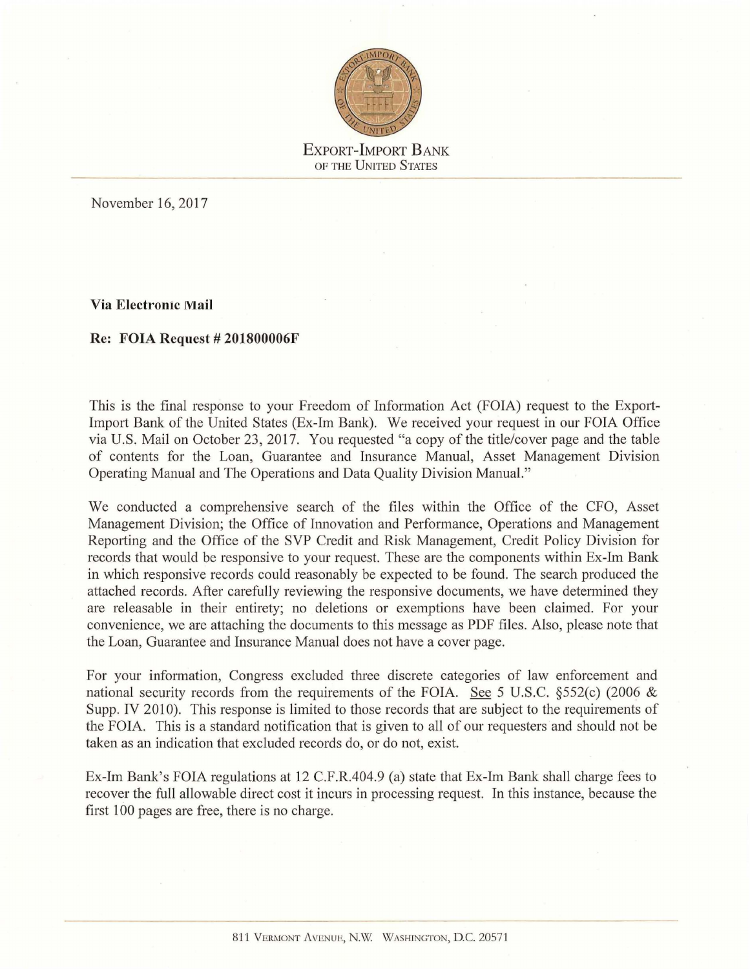

November 16, 2017

**Via Electronic Mail** 

#### **Re: FOIA Request# 201800006F**

This is the final response to your Freedom of Information Act (FOIA) request to the Export-Import Bank of the United States (Ex-Im Bank). We received your request in our FOIA Office via U.S. Mail on October 23, 2017. You requested "a copy of the title/cover page and the table of contents for the Loan, Guarantee and Insurance Manual, Asset Management Division Operating Manual and The Operations and Data Quality Division Manual."

We conducted a comprehensive search of the files within the Office of the CFO, Asset Management Division; the Office of Innovation and Performance, Operations and Management Reporting and the Office of the SVP Credit and Risk Management, Credit Policy Division for records that would be responsive to your request. These are the components within Ex-Im Banlc in which responsive records could reasonably be expected to be found. The search produced the attached records. After carefully reviewing the responsive documents, we have determined they are releasable in their entirety; no deletions or exemptions have been claimed. For your convenience, we are attaching the docwnents to this message as PDF files. Also, please note that the Loan, Guarantee and Insurance Manual does not have a cover page.

For your information, Congress excluded three discrete categories of law enforcement and national security records from the requirements of the FOIA. See 5 U.S.C. §552(c) (2006 & Supp. IV 2010). This response is limited to those records that are subject to the requirements of the FOIA. This is a standard notification that is given to all of our requesters and should not be taken as an indication that excluded records do, or do not, exist.

Ex-Im Bank's FOIA regulations at 12 C.F.R.404.9 (a) state that Ex-Im Bank shall charge fees to recover the full allowable direct cost it incurs in processing request. In this instance, because the first 100 pages are free, there is no charge.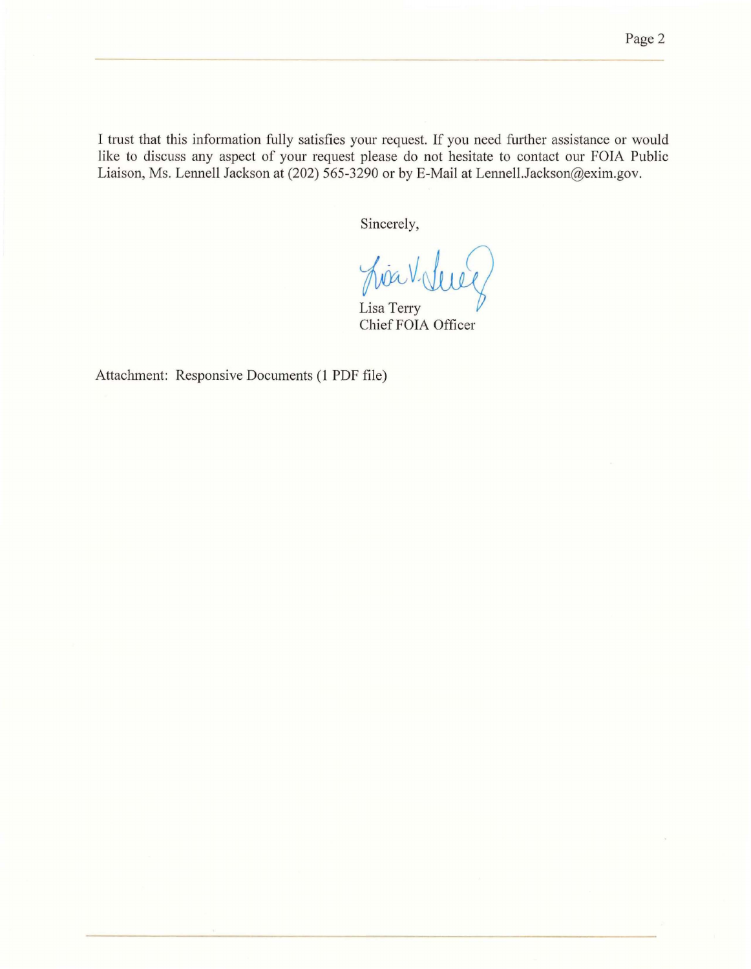I trust that this information fully satisfies your request. If you need further assistance or would like to discuss any aspect of your request please do not hesitate to contact our FOIA Public Liaison, Ms. Lennell Jackson at (202) 565-3290 or by E-Mail at Lennell.Jackson@exim.gov.

Sincerely,

*~~Jvf)* Chief FOIA Officer

Attachment: Responsive Documents (1 PDF file)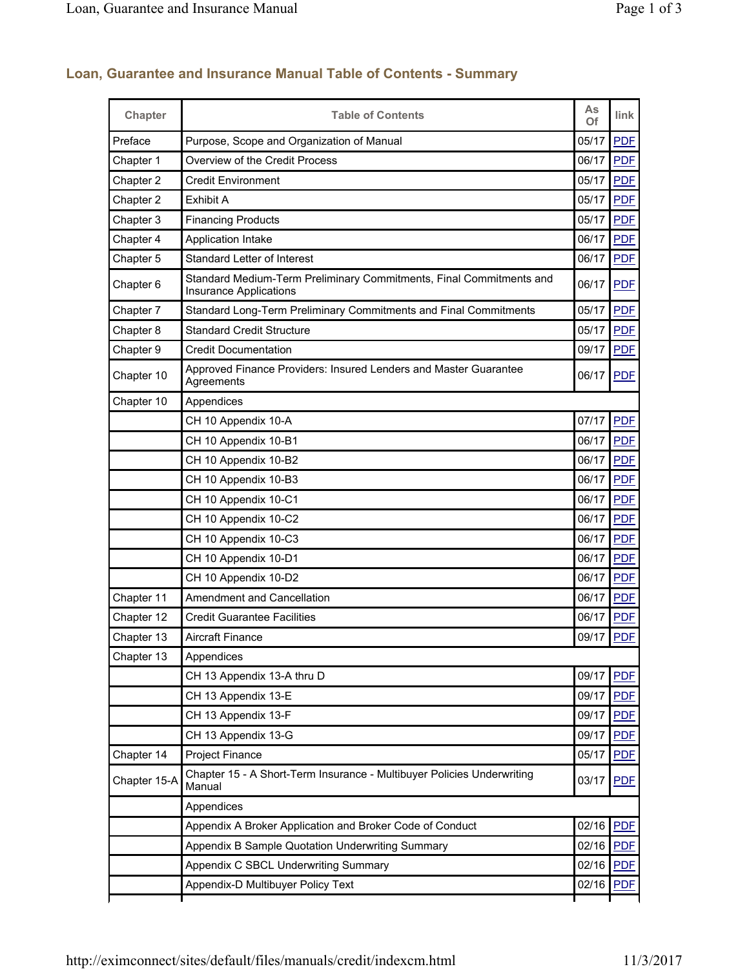| <b>Chapter</b>       | <b>Table of Contents</b>                                                                             | As<br>Of  | link       |
|----------------------|------------------------------------------------------------------------------------------------------|-----------|------------|
| Preface              | Purpose, Scope and Organization of Manual                                                            | 05/17     | <b>PDF</b> |
| Chapter 1            | Overview of the Credit Process                                                                       | 06/17     | <b>PDF</b> |
| Chapter 2            | <b>Credit Environment</b>                                                                            | 05/17     | <b>PDF</b> |
| Chapter 2            | Exhibit A                                                                                            | 05/17     | <b>PDF</b> |
| Chapter 3            | <b>Financing Products</b>                                                                            | 05/17     | <b>PDF</b> |
| Chapter 4            | Application Intake                                                                                   | 06/17     | <b>PDF</b> |
| Chapter 5            | <b>Standard Letter of Interest</b>                                                                   | 06/17     | <b>PDF</b> |
| Chapter <sub>6</sub> | Standard Medium-Term Preliminary Commitments, Final Commitments and<br><b>Insurance Applications</b> | 06/17     | <b>PDF</b> |
| Chapter 7            | Standard Long-Term Preliminary Commitments and Final Commitments                                     | 05/17     | <b>PDF</b> |
| Chapter 8            | <b>Standard Credit Structure</b>                                                                     | 05/17     | <b>PDF</b> |
| Chapter 9            | <b>Credit Documentation</b>                                                                          | 09/17     | <b>PDF</b> |
| Chapter 10           | Approved Finance Providers: Insured Lenders and Master Guarantee<br>Agreements                       | 06/17     | <b>PDF</b> |
| Chapter 10           | Appendices                                                                                           |           |            |
|                      | CH 10 Appendix 10-A                                                                                  | 07/17     | <b>PDF</b> |
|                      | CH 10 Appendix 10-B1                                                                                 | 06/17     | <b>PDF</b> |
|                      | CH 10 Appendix 10-B2                                                                                 | 06/17     | <b>PDF</b> |
|                      | CH 10 Appendix 10-B3                                                                                 | 06/17     | <b>PDF</b> |
|                      | CH 10 Appendix 10-C1                                                                                 | 06/17     | <b>PDF</b> |
|                      | CH 10 Appendix 10-C2                                                                                 | 06/17     | <b>PDF</b> |
|                      | CH 10 Appendix 10-C3                                                                                 | 06/17     | <b>PDF</b> |
|                      | CH 10 Appendix 10-D1                                                                                 | 06/17     | <b>PDF</b> |
|                      | CH 10 Appendix 10-D2                                                                                 | 06/17     | <b>PDF</b> |
| Chapter 11           | Amendment and Cancellation                                                                           | 06/17     | <b>PDF</b> |
| Chapter 12           | <b>Credit Guarantee Facilities</b>                                                                   | 06/17     | <b>PDF</b> |
| Chapter 13           | <b>Aircraft Finance</b>                                                                              | 09/17 PDF |            |
| Chapter 13           | Appendices                                                                                           |           |            |
|                      | CH 13 Appendix 13-A thru D                                                                           | 09/17     | <b>PDF</b> |
|                      | CH 13 Appendix 13-E                                                                                  | 09/17     | <b>PDF</b> |
|                      | CH 13 Appendix 13-F                                                                                  | 09/17     | <b>PDF</b> |
|                      | CH 13 Appendix 13-G                                                                                  | 09/17     | <b>PDF</b> |
| Chapter 14           | Project Finance                                                                                      | 05/17     | <b>PDF</b> |
| Chapter 15-A         | Chapter 15 - A Short-Term Insurance - Multibuyer Policies Underwriting<br>Manual                     | 03/17     | <b>PDF</b> |
|                      | Appendices                                                                                           |           |            |
|                      | Appendix A Broker Application and Broker Code of Conduct                                             | 02/16     | <b>PDF</b> |
|                      | Appendix B Sample Quotation Underwriting Summary                                                     | 02/16     | <b>PDF</b> |
|                      | Appendix C SBCL Underwriting Summary                                                                 | 02/16     | <b>PDF</b> |
|                      | Appendix-D Multibuyer Policy Text                                                                    | 02/16     | <b>PDF</b> |
|                      |                                                                                                      |           |            |

## **Loan, Guarantee and Insurance Manual Table of Contents - Summary**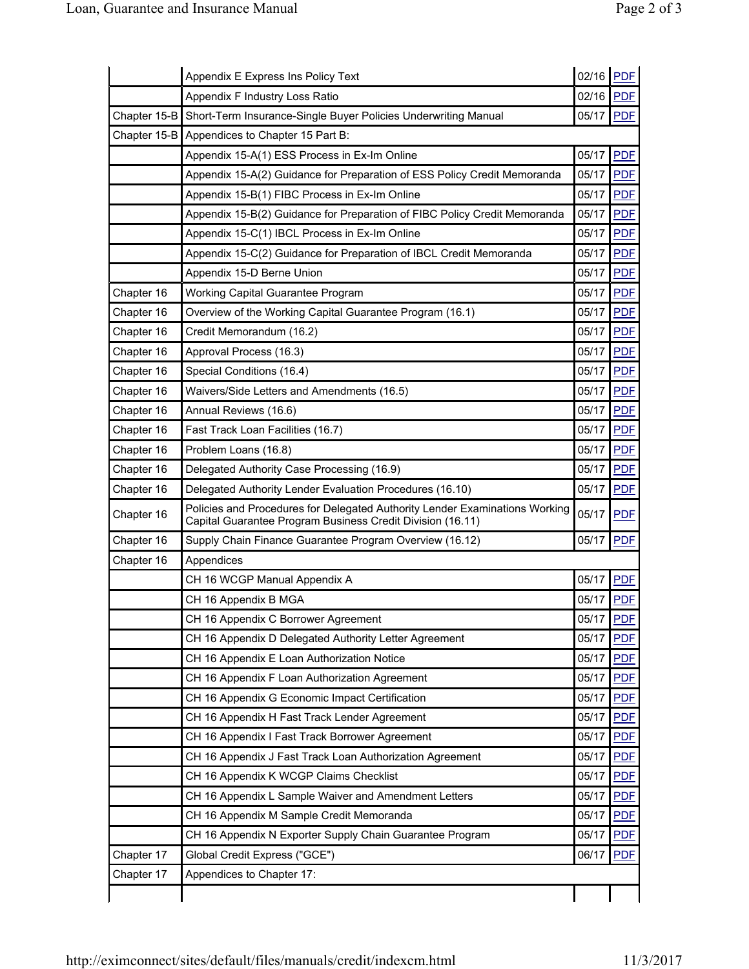|              | Appendix E Express Ins Policy Text                                                                                                        | 02/16 PDF |            |
|--------------|-------------------------------------------------------------------------------------------------------------------------------------------|-----------|------------|
|              | Appendix F Industry Loss Ratio                                                                                                            | 02/16     | <b>PDF</b> |
| Chapter 15-B | Short-Term Insurance-Single Buyer Policies Underwriting Manual                                                                            | 05/17     | <b>PDF</b> |
| Chapter 15-B | Appendices to Chapter 15 Part B:                                                                                                          |           |            |
|              | Appendix 15-A(1) ESS Process in Ex-Im Online                                                                                              | 05/17     | <b>PDF</b> |
|              | Appendix 15-A(2) Guidance for Preparation of ESS Policy Credit Memoranda                                                                  | 05/17     | <b>PDF</b> |
|              | Appendix 15-B(1) FIBC Process in Ex-Im Online                                                                                             | 05/17     | <b>PDF</b> |
|              | Appendix 15-B(2) Guidance for Preparation of FIBC Policy Credit Memoranda                                                                 | 05/17     | <b>PDF</b> |
|              | Appendix 15-C(1) IBCL Process in Ex-Im Online                                                                                             | 05/17     | <b>PDF</b> |
|              | Appendix 15-C(2) Guidance for Preparation of IBCL Credit Memoranda                                                                        | 05/17     | <b>PDF</b> |
|              | Appendix 15-D Berne Union                                                                                                                 | 05/17     | <b>PDF</b> |
| Chapter 16   | Working Capital Guarantee Program                                                                                                         | 05/17     | <b>PDF</b> |
| Chapter 16   | Overview of the Working Capital Guarantee Program (16.1)                                                                                  | 05/17     | <b>PDF</b> |
| Chapter 16   | Credit Memorandum (16.2)                                                                                                                  | 05/17     | <b>PDF</b> |
| Chapter 16   | Approval Process (16.3)                                                                                                                   | 05/17     | <b>PDF</b> |
| Chapter 16   | Special Conditions (16.4)                                                                                                                 | 05/17     | <b>PDF</b> |
| Chapter 16   | Waivers/Side Letters and Amendments (16.5)                                                                                                | 05/17     | <b>PDF</b> |
| Chapter 16   | Annual Reviews (16.6)                                                                                                                     | 05/17     | <b>PDF</b> |
| Chapter 16   | Fast Track Loan Facilities (16.7)                                                                                                         | 05/17     | <b>PDF</b> |
| Chapter 16   | Problem Loans (16.8)                                                                                                                      | 05/17     | <b>PDF</b> |
| Chapter 16   | Delegated Authority Case Processing (16.9)                                                                                                | 05/17     | <b>PDF</b> |
| Chapter 16   | Delegated Authority Lender Evaluation Procedures (16.10)                                                                                  | 05/17     | <b>PDF</b> |
| Chapter 16   | Policies and Procedures for Delegated Authority Lender Examinations Working<br>Capital Guarantee Program Business Credit Division (16.11) | 05/17     | <b>PDF</b> |
| Chapter 16   | Supply Chain Finance Guarantee Program Overview (16.12)                                                                                   | 05/17     | <b>PDF</b> |
| Chapter 16   | Appendices                                                                                                                                |           |            |
|              | CH 16 WCGP Manual Appendix A                                                                                                              | 05/17     | <b>PDF</b> |
|              | CH 16 Appendix B MGA                                                                                                                      | 05/17     | <b>PDF</b> |
|              | CH 16 Appendix C Borrower Agreement                                                                                                       | 05/17     | <b>PDF</b> |
|              | CH 16 Appendix D Delegated Authority Letter Agreement                                                                                     | 05/17     | <b>PDE</b> |
|              | CH 16 Appendix E Loan Authorization Notice                                                                                                | 05/17     | <b>PDF</b> |
|              | CH 16 Appendix F Loan Authorization Agreement                                                                                             | 05/17     | <b>PDF</b> |
|              | CH 16 Appendix G Economic Impact Certification                                                                                            | 05/17     | <b>PDF</b> |
|              | CH 16 Appendix H Fast Track Lender Agreement                                                                                              | 05/17     | <b>PDF</b> |
|              | CH 16 Appendix I Fast Track Borrower Agreement                                                                                            | 05/17     | <b>PDF</b> |
|              | CH 16 Appendix J Fast Track Loan Authorization Agreement                                                                                  | 05/17     | <b>PDF</b> |
|              | CH 16 Appendix K WCGP Claims Checklist                                                                                                    | 05/17     | <b>PDF</b> |
|              | CH 16 Appendix L Sample Waiver and Amendment Letters                                                                                      | 05/17     | <b>PDF</b> |
|              | CH 16 Appendix M Sample Credit Memoranda                                                                                                  | 05/17     | <b>PDF</b> |
|              | CH 16 Appendix N Exporter Supply Chain Guarantee Program                                                                                  | 05/17     | <b>PDF</b> |
| Chapter 17   | Global Credit Express ("GCE")                                                                                                             | 06/17     | <b>PDF</b> |
| Chapter 17   | Appendices to Chapter 17:                                                                                                                 |           |            |
|              |                                                                                                                                           |           |            |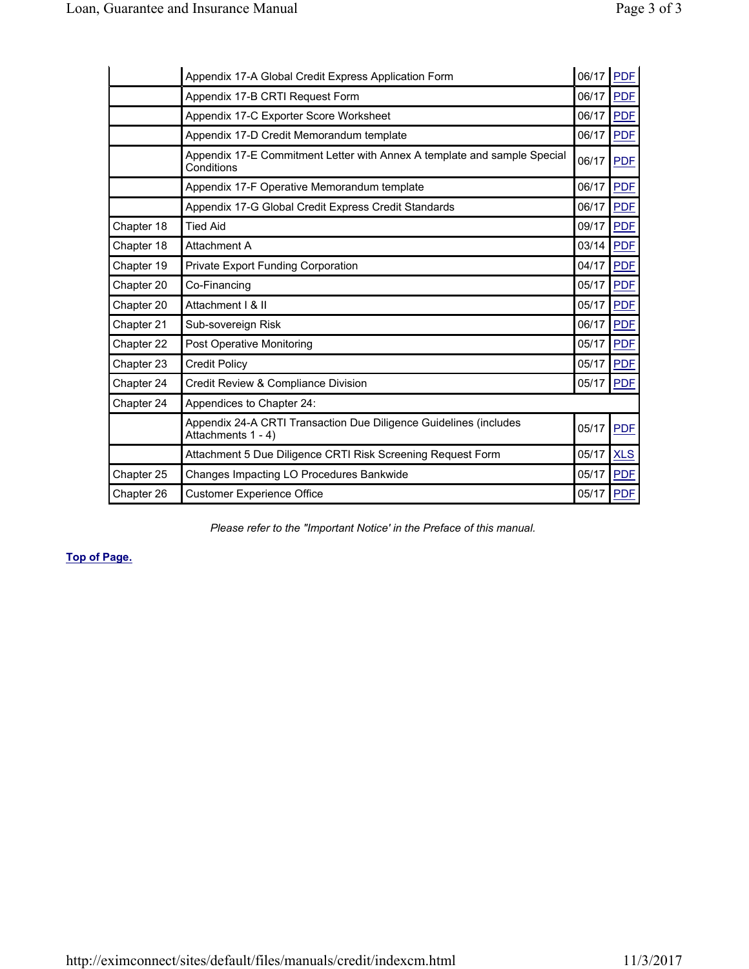|            | Appendix 17-A Global Credit Express Application Form                                    | 06/17 | <b>PDF</b> |
|------------|-----------------------------------------------------------------------------------------|-------|------------|
|            | Appendix 17-B CRTI Request Form                                                         | 06/17 | <b>PDF</b> |
|            | Appendix 17-C Exporter Score Worksheet                                                  | 06/17 | <b>PDF</b> |
|            | Appendix 17-D Credit Memorandum template                                                | 06/17 | <b>PDF</b> |
|            | Appendix 17-E Commitment Letter with Annex A template and sample Special<br>Conditions  | 06/17 | <b>PDF</b> |
|            | Appendix 17-F Operative Memorandum template                                             | 06/17 | <b>PDF</b> |
|            | Appendix 17-G Global Credit Express Credit Standards                                    | 06/17 | <b>PDF</b> |
| Chapter 18 | <b>Tied Aid</b>                                                                         | 09/17 | <b>PDF</b> |
| Chapter 18 | Attachment A                                                                            | 03/14 | <b>PDF</b> |
| Chapter 19 | Private Export Funding Corporation                                                      | 04/17 | <b>PDF</b> |
| Chapter 20 | Co-Financing                                                                            | 05/17 | <b>PDF</b> |
| Chapter 20 | Attachment   & II                                                                       | 05/17 | <b>PDF</b> |
| Chapter 21 | Sub-sovereign Risk                                                                      | 06/17 | <b>PDF</b> |
| Chapter 22 | <b>Post Operative Monitoring</b>                                                        | 05/17 | <b>PDF</b> |
| Chapter 23 | <b>Credit Policy</b>                                                                    | 05/17 | <b>PDF</b> |
| Chapter 24 | Credit Review & Compliance Division                                                     | 05/17 | <b>PDF</b> |
| Chapter 24 | Appendices to Chapter 24:                                                               |       |            |
|            | Appendix 24-A CRTI Transaction Due Diligence Guidelines (includes<br>Attachments 1 - 4) | 05/17 | <b>PDF</b> |
|            | Attachment 5 Due Diligence CRTI Risk Screening Request Form                             | 05/17 | <b>XLS</b> |
| Chapter 25 | Changes Impacting LO Procedures Bankwide                                                | 05/17 | <b>PDF</b> |
| Chapter 26 | <b>Customer Experience Office</b>                                                       | 05/17 | <b>PDF</b> |

*Please refer to the "Important Notice' in the Preface of this manual.* 

#### **Top of Page.**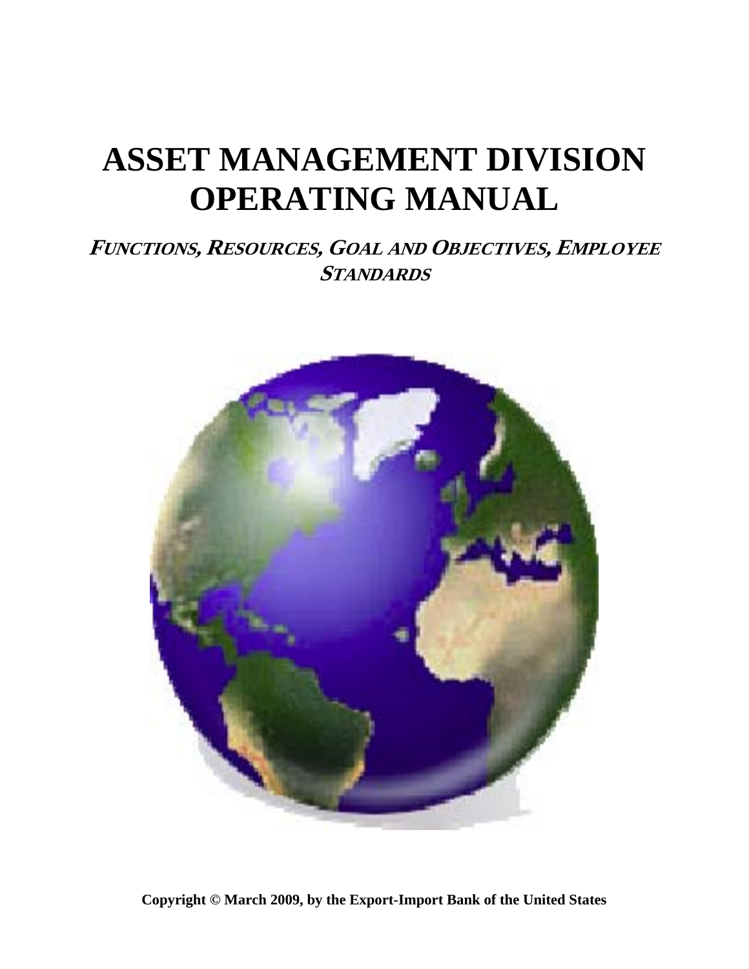# **ASSET MANAGEMENT DIVISION OPERATING MANUAL**

# **FUNCTIONS, RESOURCES, GOAL AND OBJECTIVES, EMPLOYEE STANDARDS**



**Copyright © March 2009, by the Export-Import Bank of the United States**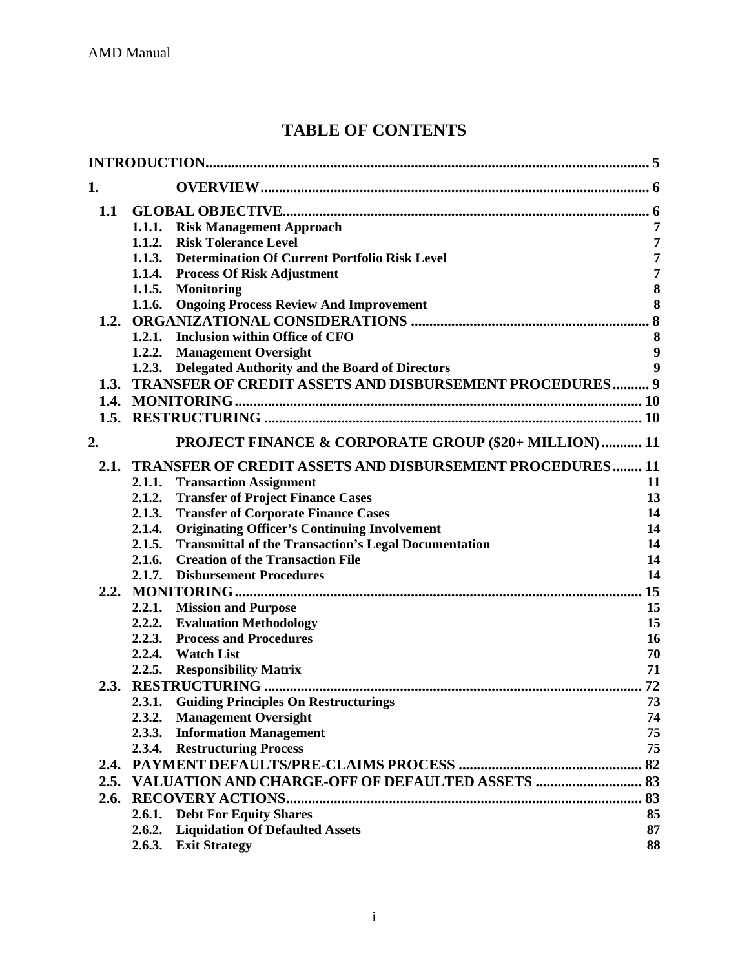# **TABLE OF CONTENTS**

| 1.   |                                                                       |                  |
|------|-----------------------------------------------------------------------|------------------|
| 1.1  |                                                                       |                  |
|      | 1.1.1. Risk Management Approach                                       | 7                |
|      | <b>Risk Tolerance Level</b><br>1.1.2.                                 | $\overline{7}$   |
|      | 1.1.3. Determination Of Current Portfolio Risk Level                  | $\overline{7}$   |
|      | 1.1.4. Process Of Risk Adjustment                                     | $\overline{7}$   |
|      | 1.1.5. Monitoring                                                     | $\bf{8}$         |
|      | 1.1.6. Ongoing Process Review And Improvement                         | 8                |
|      |                                                                       |                  |
|      | 1.2.1. Inclusion within Office of CFO                                 | 8                |
|      | 1.2.2.<br><b>Management Oversight</b>                                 | 9                |
|      | Delegated Authority and the Board of Directors<br>1.2.3.              | $\boldsymbol{9}$ |
| 1.3. | TRANSFER OF CREDIT ASSETS AND DISBURSEMENT PROCEDURES 9               |                  |
|      |                                                                       |                  |
|      |                                                                       |                  |
| 2.   | <b>PROJECT FINANCE &amp; CORPORATE GROUP (\$20+ MILLION)  11</b>      |                  |
|      | 2.1. TRANSFER OF CREDIT ASSETS AND DISBURSEMENT PROCEDURES 11         |                  |
|      | <b>Transaction Assignment</b><br>2.1.1.                               | 11               |
|      | 2.1.2.<br><b>Transfer of Project Finance Cases</b>                    | 13               |
|      | 2.1.3.<br><b>Transfer of Corporate Finance Cases</b>                  | 14               |
|      | <b>Originating Officer's Continuing Involvement</b><br>2.1.4.         | 14               |
|      | <b>Transmittal of the Transaction's Legal Documentation</b><br>2.1.5. | 14               |
|      | <b>Creation of the Transaction File</b><br>2.1.6.                     | 14               |
|      | 2.1.7. Disbursement Procedures                                        | 14               |
| 2.2. |                                                                       | 15               |
|      | 2.2.1. Mission and Purpose                                            | 15               |
|      | 2.2.2. Evaluation Methodology                                         | 15               |
|      | 2.2.3.<br><b>Process and Procedures</b>                               | 16               |
|      | 2.2.4. Watch List                                                     | 70               |
|      | <b>Responsibility Matrix</b><br>2.2.5.                                | 71               |
|      |                                                                       | 72               |
|      | 2.3.1. Guiding Principles On Restructurings                           | 73               |
|      | 2.3.2. Management Oversight                                           | 74               |
|      | 2.3.3. Information Management                                         | 75               |
|      | 2.3.4. Restructuring Process                                          | 75               |
|      |                                                                       | 82               |
| 2.5. |                                                                       |                  |
| 2.6. |                                                                       |                  |
|      | 2.6.1.<br><b>Debt For Equity Shares</b>                               | 85               |
|      | <b>Liquidation Of Defaulted Assets</b><br>2.6.2.                      | 87               |
|      | <b>Exit Strategy</b><br>2.6.3.                                        | 88               |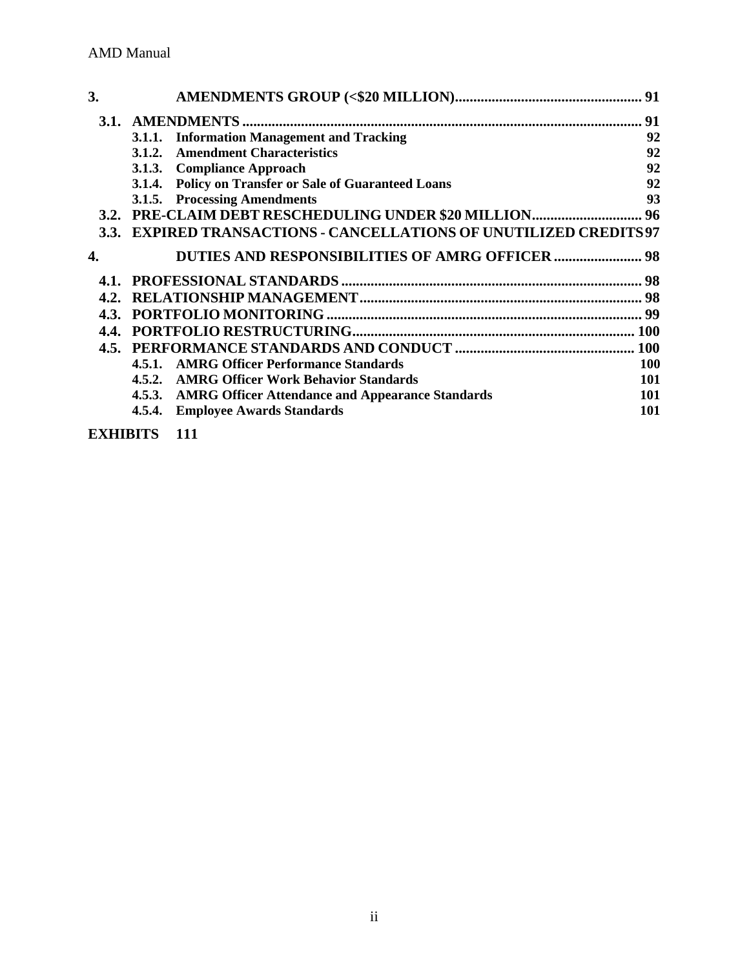| 3.   |                                                                    | 91         |
|------|--------------------------------------------------------------------|------------|
|      |                                                                    | 91         |
|      | 3.1.1. Information Management and Tracking                         | 92         |
|      | 3.1.2. Amendment Characteristics                                   | 92         |
|      | 3.1.3. Compliance Approach                                         | 92         |
|      | 3.1.4. Policy on Transfer or Sale of Guaranteed Loans              | 92         |
|      | 3.1.5. Processing Amendments                                       | 93         |
|      |                                                                    |            |
|      | 3.3. EXPIRED TRANSACTIONS - CANCELLATIONS OF UNUTILIZED CREDITS 97 |            |
| 4.   | <b>DUTIES AND RESPONSIBILITIES OF AMRG OFFICER  98</b>             |            |
|      |                                                                    |            |
|      |                                                                    | 98         |
|      |                                                                    | 99         |
|      |                                                                    |            |
| 4.5. |                                                                    |            |
|      | 4.5.1. AMRG Officer Performance Standards                          | <b>100</b> |
|      | 4.5.2. AMRG Officer Work Behavior Standards                        | 101        |
|      | 4.5.3. AMRG Officer Attendance and Appearance Standards            | <b>101</b> |
|      | <b>Employee Awards Standards</b><br>4.5.4.                         | 101        |

**EXHIBITS 111**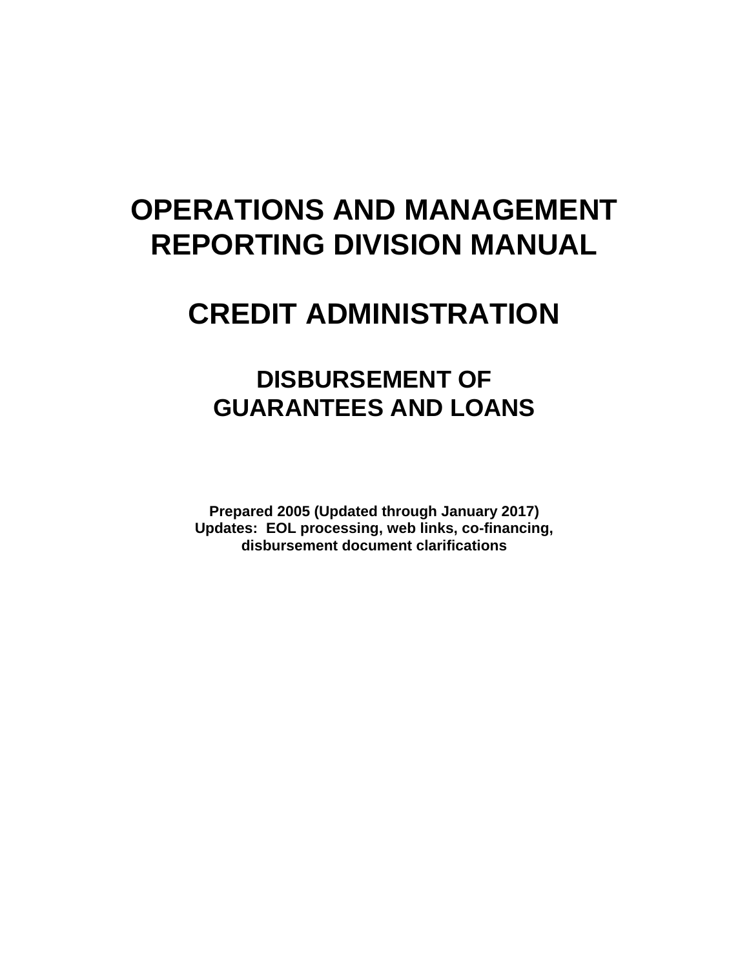# **OPERATIONS AND MANAGEMENT REPORTING DIVISION MANUAL**

# **CREDIT ADMINISTRATION**

# **DISBURSEMENT OF GUARANTEES AND LOANS**

**Prepared 2005 (Updated through January 2017) Updates: EOL processing, web links, co-financing, disbursement document clarifications**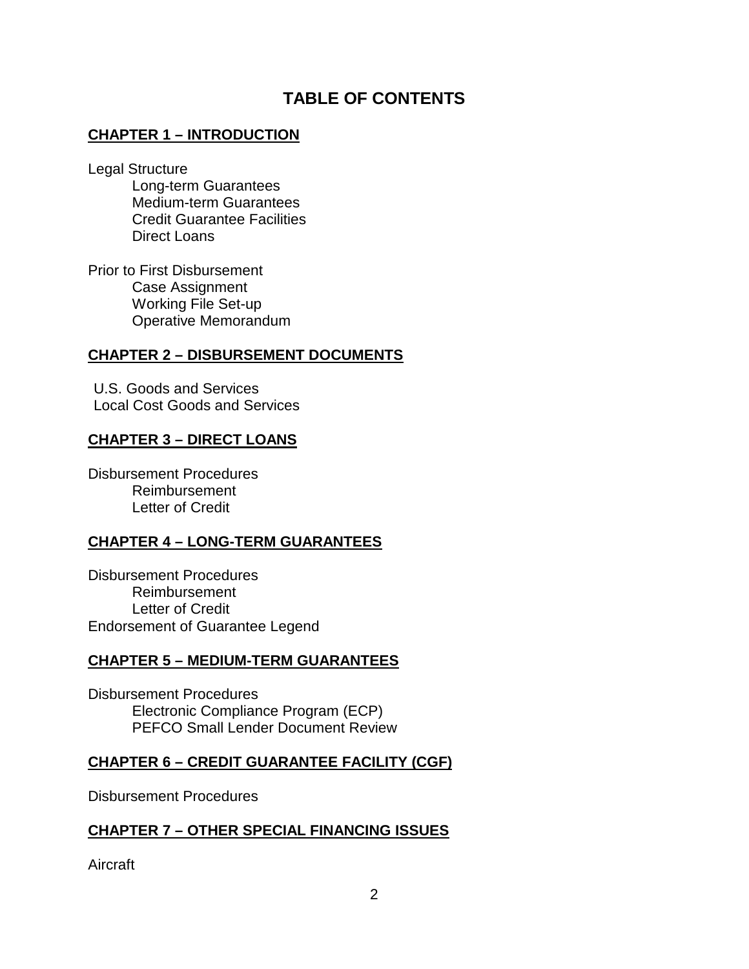# **TABLE OF CONTENTS**

# **CHAPTER 1 – INTRODUCTION**

Legal Structure

Long-term Guarantees Medium-term Guarantees Credit Guarantee Facilities Direct Loans

Prior to First Disbursement Case Assignment Working File Set-up Operative Memorandum

## **CHAPTER 2 – DISBURSEMENT DOCUMENTS**

U.S. Goods and Services Local Cost Goods and Services

## **CHAPTER 3 – DIRECT LOANS**

Disbursement Procedures Reimbursement Letter of Credit

### **CHAPTER 4 – LONG-TERM GUARANTEES**

Disbursement Procedures Reimbursement Letter of Credit Endorsement of Guarantee Legend

### **CHAPTER 5 – MEDIUM-TERM GUARANTEES**

Disbursement Procedures Electronic Compliance Program (ECP) PEFCO Small Lender Document Review

# **CHAPTER 6 – CREDIT GUARANTEE FACILITY (CGF)**

Disbursement Procedures

# **CHAPTER 7 – OTHER SPECIAL FINANCING ISSUES**

Aircraft